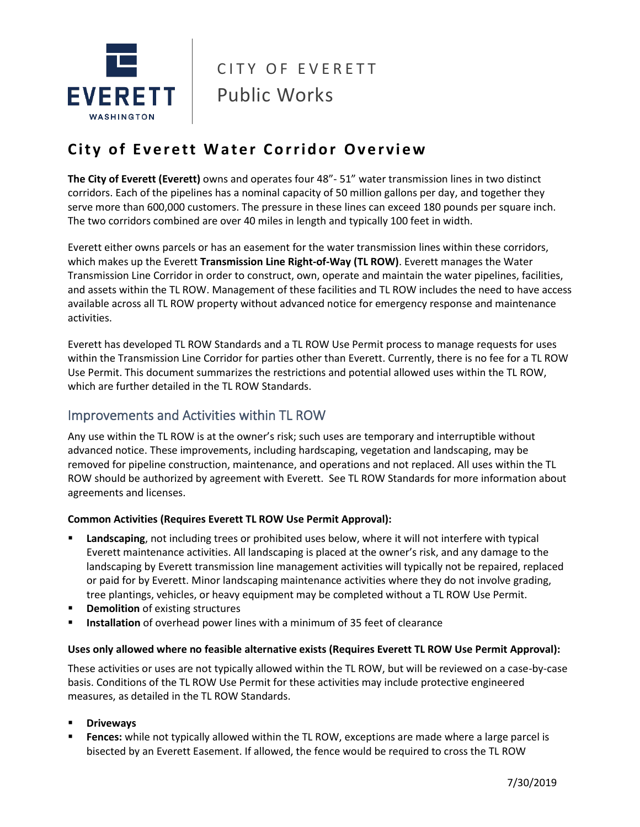

# CITY OF EVERETT | Public Works

# **City of Everett Water Corridor Overview**

**The City of Everett (Everett)** owns and operates four 48"- 51" water transmission lines in two distinct corridors. Each of the pipelines has a nominal capacity of 50 million gallons per day, and together they serve more than 600,000 customers. The pressure in these lines can exceed 180 pounds per square inch. The two corridors combined are over 40 miles in length and typically 100 feet in width.

Everett either owns parcels or has an easement for the water transmission lines within these corridors, which makes up the Everett **Transmission Line Right-of-Way (TL ROW)**. Everett manages the Water Transmission Line Corridor in order to construct, own, operate and maintain the water pipelines, facilities, and assets within the TL ROW. Management of these facilities and TL ROW includes the need to have access available across all TL ROW property without advanced notice for emergency response and maintenance activities.

Everett has developed TL ROW Standards and a TL ROW Use Permit process to manage requests for uses within the Transmission Line Corridor for parties other than Everett. Currently, there is no fee for a TL ROW Use Permit. This document summarizes the restrictions and potential allowed uses within the TL ROW, which are further detailed in the TL ROW Standards.

# Improvements and Activities within TL ROW

Any use within the TL ROW is at the owner's risk; such uses are temporary and interruptible without advanced notice. These improvements, including hardscaping, vegetation and landscaping, may be removed for pipeline construction, maintenance, and operations and not replaced. All uses within the TL ROW should be authorized by agreement with Everett. See TL ROW Standards for more information about agreements and licenses.

#### **Common Activities (Requires Everett TL ROW Use Permit Approval):**

- Landscaping, not including trees or prohibited uses below, where it will not interfere with typical Everett maintenance activities. All landscaping is placed at the owner's risk, and any damage to the landscaping by Everett transmission line management activities will typically not be repaired, replaced or paid for by Everett. Minor landscaping maintenance activities where they do not involve grading, tree plantings, vehicles, or heavy equipment may be completed without a TL ROW Use Permit.
- **Demolition** of existing structures
- **EXEDENTIFY Installation** of overhead power lines with a minimum of 35 feet of clearance

#### **Uses only allowed where no feasible alternative exists (Requires Everett TL ROW Use Permit Approval):**

These activities or uses are not typically allowed within the TL ROW, but will be reviewed on a case-by-case basis. Conditions of the TL ROW Use Permit for these activities may include protective engineered measures, as detailed in the TL ROW Standards.

- **Driveways**
- **Fences:** while not typically allowed within the TL ROW, exceptions are made where a large parcel is bisected by an Everett Easement. If allowed, the fence would be required to cross the TL ROW